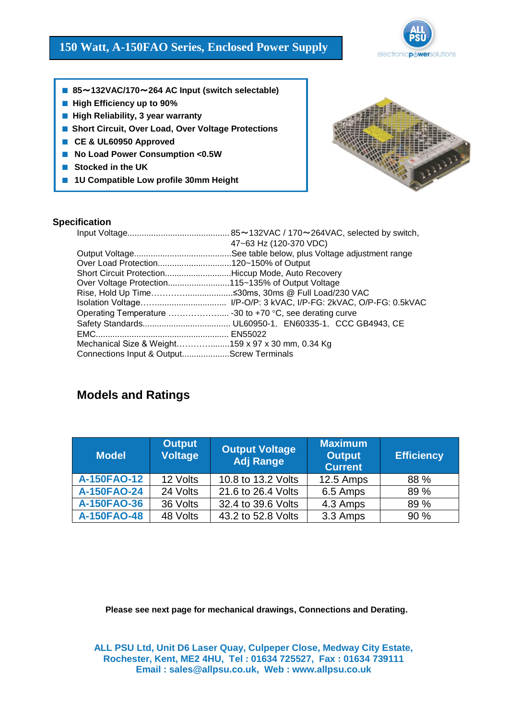# **150 Watt, A-150FAO Series, Enclosed Power Supply**



- **85**~**132VAC/170**~**264 AC Input (switch selectable)**
- **High Efficiency up to 90%**
- **High Reliability, 3 year warranty**
- **Short Circuit, Over Load, Over Voltage Protections**
- **CE & UL60950 Approved**
- **No Load Power Consumption <0.5W**
- **Stocked in the UK**
- **1U Compatible Low profile 30mm Height**



### **Specification**

|                                                    | 47~63 Hz (120-370 VDC) |
|----------------------------------------------------|------------------------|
|                                                    |                        |
| Over Load Protection120~150% of Output             |                        |
| Short Circuit ProtectionHiccup Mode, Auto Recovery |                        |
|                                                    |                        |
|                                                    |                        |
|                                                    |                        |
|                                                    |                        |
|                                                    |                        |
|                                                    |                        |
| Mechanical Size & Weight159 x 97 x 30 mm, 0.34 Kg  |                        |
| Connections Input & OutputScrew Terminals          |                        |

# **Models and Ratings**

| <b>Model</b> | <b>Output</b><br><b>Voltage</b> | <b>Output Voltage</b><br><b>Adj Range</b> | <b>Maximum</b><br><b>Output</b><br><b>Current</b> | <b>Efficiency</b> |
|--------------|---------------------------------|-------------------------------------------|---------------------------------------------------|-------------------|
| A-150FAO-12  | 12 Volts                        | 10.8 to 13.2 Volts                        | 12.5 Amps                                         | 88 %              |
| A-150FAO-24  | 24 Volts                        | 21.6 to 26.4 Volts                        | 6.5 Amps                                          | 89 %              |
| A-150FAO-36  | 36 Volts                        | 32.4 to 39.6 Volts                        | 4.3 Amps                                          | 89 %              |
| A-150FAO-48  | 48 Volts                        | 43.2 to 52.8 Volts                        | 3.3 Amps                                          | 90 %              |

**Please see next page for mechanical drawings, Connections and Derating.**

**ALL PSU Ltd, Unit D6 Laser Quay, Culpeper Close, Medway City Estate, Rochester, Kent, ME2 4HU, Tel : 01634 725527, Fax : 01634 739111 Email : sales@allpsu.co.uk, Web : www.allpsu.co.uk**